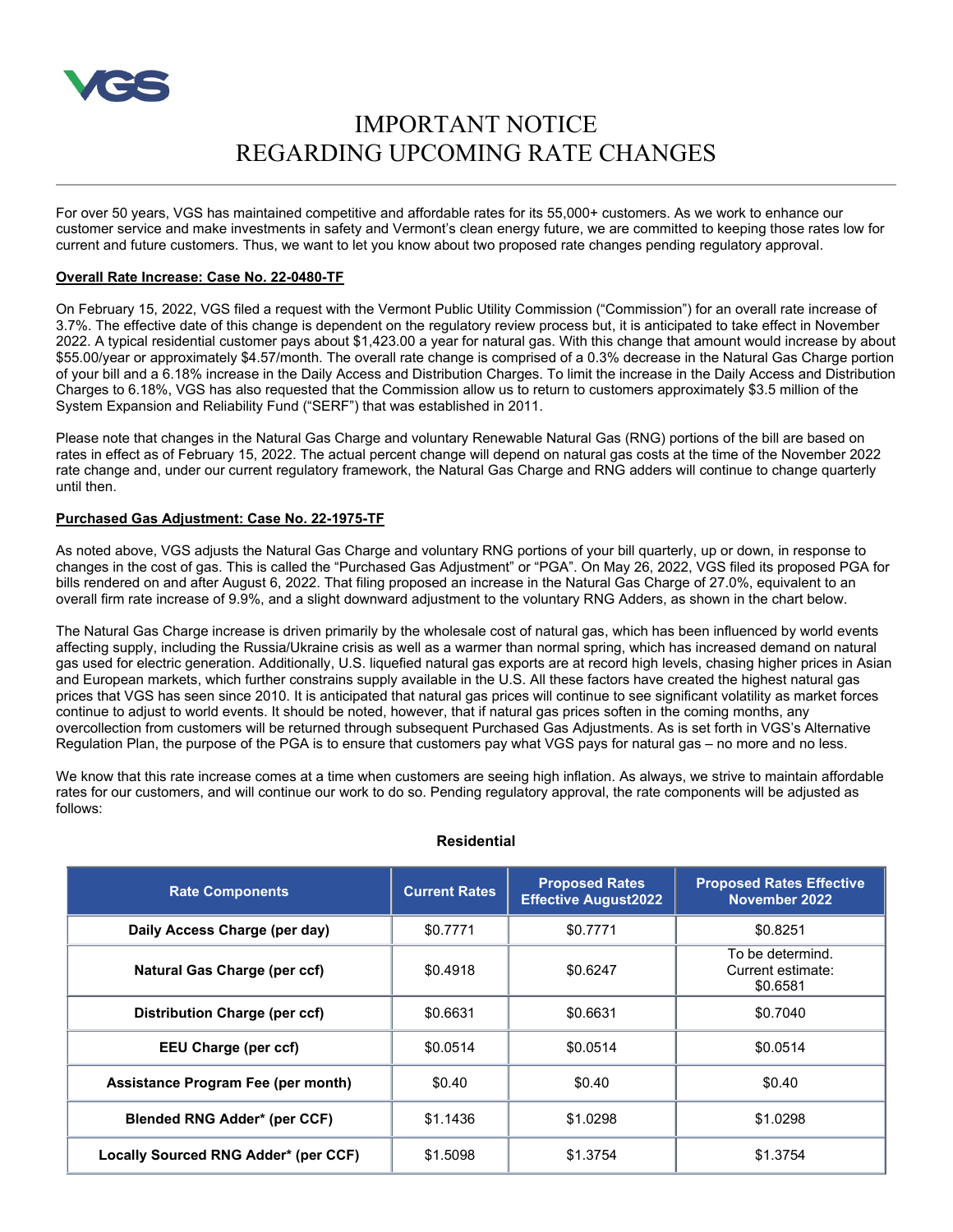

# IMPORTANT NOTICE REGARDING UPCOMING RATE CHANGES

For over 50 years, VGS has maintained competitive and affordable rates for its 55,000+ customers. As we work to enhance our customer service and make investments in safety and Vermont's clean energy future, we are committed to keeping those rates low for current and future customers. Thus, we want to let you know about two proposed rate changes pending regulatory approval.

### **Overall Rate Increase: Case No. 22-0480-TF**

On February 15, 2022, VGS filed a request with the Vermont Public Utility Commission ("Commission") for an overall rate increase of 3.7%. The effective date of this change is dependent on the regulatory review process but, it is anticipated to take effect in November 2022. A typical residential customer pays about \$1,423.00 a year for natural gas. With this change that amount would increase by about \$55.00/year or approximately \$4.57/month. The overall rate change is comprised of a 0.3% decrease in the Natural Gas Charge portion of your bill and a 6.18% increase in the Daily Access and Distribution Charges. To limit the increase in the Daily Access and Distribution Charges to 6.18%, VGS has also requested that the Commission allow us to return to customers approximately \$3.5 million of the System Expansion and Reliability Fund ("SERF") that was established in 2011.

Please note that changes in the Natural Gas Charge and voluntary Renewable Natural Gas (RNG) portions of the bill are based on rates in effect as of February 15, 2022. The actual percent change will depend on natural gas costs at the time of the November 2022 rate change and, under our current regulatory framework, the Natural Gas Charge and RNG adders will continue to change quarterly until then.

## **Purchased Gas Adjustment: Case No. 22-1975-TF**

As noted above, VGS adjusts the Natural Gas Charge and voluntary RNG portions of your bill quarterly, up or down, in response to changes in the cost of gas. This is called the "Purchased Gas Adjustment" or "PGA". On May 26, 2022, VGS filed its proposed PGA for bills rendered on and after August 6, 2022. That filing proposed an increase in the Natural Gas Charge of 27.0%, equivalent to an overall firm rate increase of 9.9%, and a slight downward adjustment to the voluntary RNG Adders, as shown in the chart below.

The Natural Gas Charge increase is driven primarily by the wholesale cost of natural gas, which has been influenced by world events affecting supply, including the Russia/Ukraine crisis as well as a warmer than normal spring, which has increased demand on natural gas used for electric generation. Additionally, U.S. liquefied natural gas exports are at record high levels, chasing higher prices in Asian and European markets, which further constrains supply available in the U.S. All these factors have created the highest natural gas prices that VGS has seen since 2010. It is anticipated that natural gas prices will continue to see significant volatility as market forces continue to adjust to world events. It should be noted, however, that if natural gas prices soften in the coming months, any overcollection from customers will be returned through subsequent Purchased Gas Adjustments. As is set forth in VGS's Alternative Regulation Plan, the purpose of the PGA is to ensure that customers pay what VGS pays for natural gas – no more and no less.

We know that this rate increase comes at a time when customers are seeing high inflation. As always, we strive to maintain affordable rates for our customers, and will continue our work to do so. Pending regulatory approval, the rate components will be adjusted as follows:

| <b>Rate Components</b>               | <b>Current Rates</b> | <b>Proposed Rates</b><br><b>Effective August2022</b> | <b>Proposed Rates Effective</b><br>November 2022  |
|--------------------------------------|----------------------|------------------------------------------------------|---------------------------------------------------|
| Daily Access Charge (per day)        | \$0.7771             | \$0.7771                                             | \$0.8251                                          |
| Natural Gas Charge (per ccf)         | \$0.4918             | \$0.6247                                             | To be determind.<br>Current estimate:<br>\$0.6581 |
| <b>Distribution Charge (per ccf)</b> | \$0.6631             | \$0.6631                                             | \$0.7040                                          |
| <b>EEU Charge (per ccf)</b>          | \$0.0514             | \$0.0514                                             | \$0.0514                                          |
| Assistance Program Fee (per month)   | \$0.40               | \$0.40                                               | \$0.40                                            |
| <b>Blended RNG Adder* (per CCF)</b>  | \$1.1436             | \$1.0298                                             | \$1.0298                                          |
| Locally Sourced RNG Adder* (per CCF) | \$1,5098             | \$1.3754                                             | \$1.3754                                          |

#### **Residential**